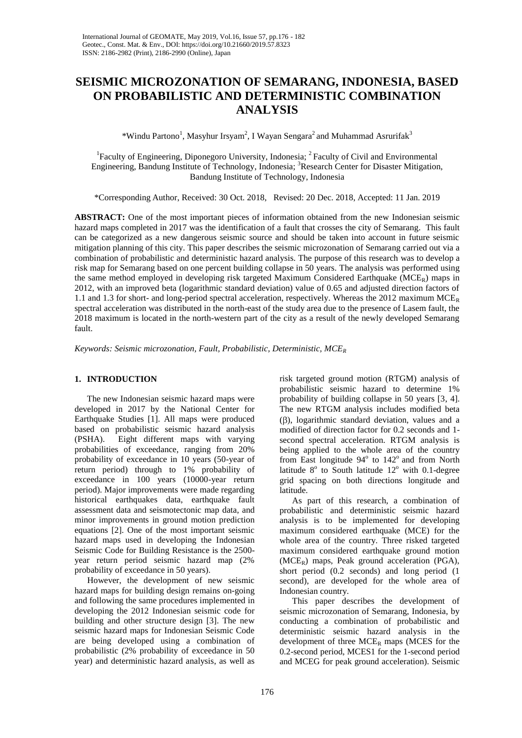# **SEISMIC MICROZONATION OF SEMARANG, INDONESIA, BASED ON PROBABILISTIC AND DETERMINISTIC COMBINATION ANALYSIS**

\*Windu Partono<sup>1</sup>, Masyhur Irsyam<sup>2</sup>, I Wayan Sengara<sup>2</sup> and Muhammad Asrurifak<sup>3</sup>

<sup>1</sup> Faculty of Engineering, Diponegoro University, Indonesia; <sup>2</sup> Faculty of Civil and Environmental Engineering, Bandung Institute of Technology, Indonesia; <sup>3</sup>Research Center for Disaster Mitigation, Bandung Institute of Technology, Indonesia

\*Corresponding Author, Received: 30 Oct. 2018, Revised: 20 Dec. 2018, Accepted: 11 Jan. 2019

**ABSTRACT:** One of the most important pieces of information obtained from the new Indonesian seismic hazard maps completed in 2017 was the identification of a fault that crosses the city of Semarang. This fault can be categorized as a new dangerous seismic source and should be taken into account in future seismic mitigation planning of this city. This paper describes the seismic microzonation of Semarang carried out via a combination of probabilistic and deterministic hazard analysis. The purpose of this research was to develop a risk map for Semarang based on one percent building collapse in 50 years. The analysis was performed using the same method employed in developing risk targeted Maximum Considered Earthquake ( $MCE<sub>R</sub>$ ) maps in 2012, with an improved beta (logarithmic standard deviation) value of 0.65 and adjusted direction factors of 1.1 and 1.3 for short- and long-period spectral acceleration, respectively. Whereas the 2012 maximum  $MCE_R$ spectral acceleration was distributed in the north-east of the study area due to the presence of Lasem fault, the 2018 maximum is located in the north-western part of the city as a result of the newly developed Semarang fault.

*Keywords: Seismic microzonation, Fault, Probabilistic, Deterministic, MCE<sup>R</sup>*

# **1. INTRODUCTION**

The new Indonesian seismic hazard maps were developed in 2017 by the National Center for Earthquake Studies [1]. All maps were produced based on probabilistic seismic hazard analysis (PSHA). Eight different maps with varying probabilities of exceedance, ranging from 20% probability of exceedance in 10 years (50-year of return period) through to 1% probability of exceedance in 100 years (10000-year return period). Major improvements were made regarding historical earthquakes data, earthquake fault assessment data and seismotectonic map data, and minor improvements in ground motion prediction equations [2]. One of the most important seismic hazard maps used in developing the Indonesian Seismic Code for Building Resistance is the 2500 year return period seismic hazard map (2% probability of exceedance in 50 years).

However, the development of new seismic hazard maps for building design remains on-going and following the same procedures implemented in developing the 2012 Indonesian seismic code for building and other structure design [3]. The new seismic hazard maps for Indonesian Seismic Code are being developed using a combination of probabilistic (2% probability of exceedance in 50 year) and deterministic hazard analysis, as well as

risk targeted ground motion (RTGM) analysis of probabilistic seismic hazard to determine 1% probability of building collapse in 50 years [3, 4]. The new RTGM analysis includes modified beta  $(\beta)$ , logarithmic standard deviation, values and a modified of direction factor for 0.2 seconds and 1 second spectral acceleration. RTGM analysis is being applied to the whole area of the country from East longitude 94° to 142° and from North latitude  $8^{\circ}$  to South latitude  $12^{\circ}$  with 0.1-degree grid spacing on both directions longitude and latitude.

As part of this research, a combination of probabilistic and deterministic seismic hazard analysis is to be implemented for developing maximum considered earthquake (MCE) for the whole area of the country. Three risked targeted maximum considered earthquake ground motion  $(MCE_R)$  maps, Peak ground acceleration (PGA), short period (0.2 seconds) and long period (1 second), are developed for the whole area of Indonesian country.

This paper describes the development of seismic microzonation of Semarang, Indonesia, by conducting a combination of probabilistic and deterministic seismic hazard analysis in the development of three  $MCE_R$  maps (MCES for the 0.2-second period, MCES1 for the 1-second period and MCEG for peak ground acceleration). Seismic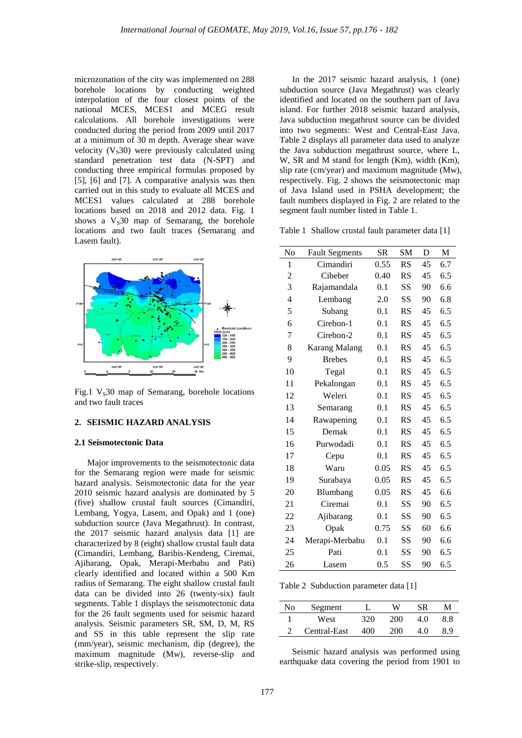microzonation of the city was implemented on 288 borehole locations by conducting weighted interpolation of the four closest points of the national MCES, MCES1 and MCEG result calculations. All borehole investigations were conducted during the period from 2009 until 2017 at a minimum of 30 m depth. Average shear wave velocity  $(V<sub>s</sub>30)$  were previously calculated using standard penetration test data (N-SPT) and conducting three empirical formulas proposed by [5], [6] and [7]. A comparative analysis was then carried out in this study to evaluate all MCES and MCES1 values calculated at 288 borehole locations based on 2018 and 2012 data. Fig. 1 shows a  $V<sub>S</sub>30$  map of Semarang, the borehole locations and two fault traces (Semarang and Lasem fault).



Fig.1  $V_s30$  map of Semarang, borehole locations and two fault traces

## **2. SEISMIC HAZARD ANALYSIS**

#### **2.1 Seismotectonic Data**

Major improvements to the seismotectonic data for the Semarang region were made for seismic hazard analysis. Seismotectonic data for the year 2010 seismic hazard analysis are dominated by 5 (five) shallow crustal fault sources (Cimandiri, Lembang, Yogya, Lasem, and Opak) and 1 (one) subduction source (Java Megathrust). In contrast, the 2017 seismic hazard analysis data [1] are characterized by 8 (eight) shallow crustal fault data (Cimandiri, Lembang, Baribis-Kendeng, Ciremai, Ajibarang, Opak, Merapi-Merbabu and Pati) clearly identified and located within a 500 Km radius of Semarang. The eight shallow crustal fault data can be divided into 26 (twenty-six) fault segments. Table 1 displays the seismotectonic data for the 26 fault segments used for seismic hazard analysis. Seismic parameters SR, SM, D, M, RS and SS in this table represent the slip rate (mm/year), seismic mechanism, dip (degree), the maximum magnitude (Mw), reverse-slip and strike-slip, respectively.

In the 2017 seismic hazard analysis, 1 (one) subduction source (Java Megathrust) was clearly identified and located on the southern part of Java island. For further 2018 seismic hazard analysis, Java subduction megathrust source can be divided into two segments: West and Central-East Java. Table 2 displays all parameter data used to analyze the Java subduction megathrust source, where L, W, SR and M stand for length (Km), width (Km), slip rate (cm/year) and maximum magnitude (Mw), respectively. Fig. 2 shows the seismotectonic map of Java Island used in PSHA development; the fault numbers displayed in Fig. 2 are related to the segment fault number listed in Table 1.

Table 1 Shallow crustal fault parameter data [1]

| No             | <b>Fault Segments</b> | <b>SR</b> | <b>SM</b> | D  | M   |
|----------------|-----------------------|-----------|-----------|----|-----|
| 1              | Cimandiri             | 0.55      | <b>RS</b> | 45 | 6.7 |
| $\overline{c}$ | Cibeber               | 0.40      | RS        | 45 | 6.5 |
| 3              | Rajamandala           | 0.1       | SS        | 90 | 6.6 |
| 4              | Lembang               | 2.0       | <b>SS</b> | 90 | 6.8 |
| 5              | Subang                | 0.1       | RS        | 45 | 6.5 |
| 6              | Cirebon-1             | 0.1       | RS        | 45 | 6.5 |
| 7              | Cirebon-2             | 0.1       | RS        | 45 | 6.5 |
| 8              | <b>Karang Malang</b>  | 0.1       | <b>RS</b> | 45 | 6.5 |
| 9              | <b>Brebes</b>         | 0.1       | RS        | 45 | 6.5 |
| 10             | Tegal                 | 0.1       | RS        | 45 | 6.5 |
| 11             | Pekalongan            | 0.1       | RS        | 45 | 6.5 |
| 12             | Weleri                | 0.1       | <b>RS</b> | 45 | 6.5 |
| 13             | Semarang              | 0.1       | RS        | 45 | 6.5 |
| 14             | Rawapening            | 0.1       | RS        | 45 | 6.5 |
| 15             | Demak                 | 0.1       | RS        | 45 | 6.5 |
| 16             | Purwodadi             | 0.1       | RS        | 45 | 6.5 |
| 17             | Cepu                  | 0.1       | RS        | 45 | 6.5 |
| 18             | Waru                  | 0.05      | RS        | 45 | 6.5 |
| 19             | Surabaya              | 0.05      | RS        | 45 | 6.5 |
| 20             | Blumbang              | 0.05      | RS        | 45 | 6.6 |
| 21             | Ciremai               | 0.1       | SS        | 90 | 6.5 |
| 22             | Ajibarang             | 0.1       | SS        | 90 | 6.5 |
| 23             | Opak                  | 0.75      | SS        | 60 | 6.6 |
| 24             | Merapi-Merbabu        | 0.1       | SS        | 90 | 6.6 |
| 25             | Pati                  | 0.1       | SS        | 90 | 6.5 |
| 26             | Lasem                 | 0.5       | SS        | 90 | 6.5 |

Table 2 Subduction parameter data [1]

| No | Segment      |     | W   | SR   |     |
|----|--------------|-----|-----|------|-----|
|    | West         | 320 | 200 | 40   | 8.8 |
|    | Central-East | 400 | 200 | L () |     |

Seismic hazard analysis was performed using earthquake data covering the period from 1901 to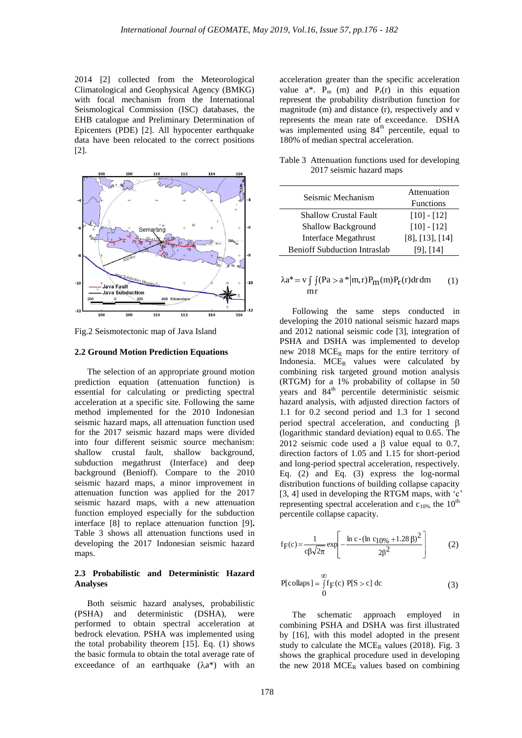2014 [2] collected from the Meteorological Climatological and Geophysical Agency (BMKG) with focal mechanism from the International Seismological Commission (ISC) databases, the EHB catalogue and Preliminary Determination of Epicenters (PDE) [2]. All hypocenter earthquake data have been relocated to the correct positions [2].



Fig.2 Seismotectonic map of Java Island

## **2.2 Ground Motion Prediction Equations**

The selection of an appropriate ground motion prediction equation (attenuation function) is essential for calculating or predicting spectral acceleration at a specific site. Following the same method implemented for the 2010 Indonesian seismic hazard maps, all attenuation function used for the 2017 seismic hazard maps were divided into four different seismic source mechanism: shallow crustal fault, shallow background, subduction megathrust (Interface) and deep background (Benioff). Compare to the 2010 seismic hazard maps, a minor improvement in attenuation function was applied for the 2017 seismic hazard maps, with a new attenuation function employed especially for the subduction interface [8] to replace attenuation function [9]**.** Table 3 shows all attenuation functions used in developing the 2017 Indonesian seismic hazard maps.

# **2.3 Probabilistic and Deterministic Hazard Analyses**

Both seismic hazard analyses, probabilistic (PSHA) and deterministic (DSHA), were performed to obtain spectral acceleration at bedrock elevation. PSHA was implemented using the total probability theorem [15]. Eq. (1) shows the basic formula to obtain the total average rate of exceedance of an earthquake  $(\lambda a^*)$  with an acceleration greater than the specific acceleration value  $a^*$ .  $P_m$  (m) and  $P_r(r)$  in this equation represent the probability distribution function for magnitude (m) and distance (r), respectively and v represents the mean rate of exceedance. DSHA was implemented using  $84<sup>th</sup>$  percentile, equal to 180% of median spectral acceleration.

| Table 3 Attenuation functions used for developing |
|---------------------------------------------------|
| 2017 seismic hazard maps                          |

| Seismic Mechanism                   | Attenuation             |
|-------------------------------------|-------------------------|
|                                     | <b>Functions</b>        |
| Shallow Crustal Fault               | $[10] - [12]$           |
| <b>Shallow Background</b>           | $[10] - [12]$           |
| Interface Megathrust                | $[8]$ , $[13]$ , $[14]$ |
| <b>Benioff Subduction Intraslab</b> | [9], [14]               |

$$
\lambda a^* = v \int \int (Pa > a^* |m, r) P_m(m) P_r(r) dr dm
$$
  
mr (1)

Following the same steps conducted in developing the 2010 national seismic hazard maps and 2012 national seismic code [3], integration of PSHA and DSHA was implemented to develop new 2018  $MCE_R$  maps for the entire territory of Indonesia. MCE<sub>R</sub> values were calculated by combining risk targeted ground motion analysis (RTGM) for a 1% probability of collapse in 50 years and 84<sup>th</sup> percentile deterministic seismic hazard analysis, with adjusted direction factors of 1.1 for 0.2 second period and 1.3 for 1 second period spectral acceleration, and conducting  $\beta$ (logarithmic standard deviation) equal to 0.65. The 2012 seismic code used a  $\beta$  value equal to 0.7, direction factors of 1.05 and 1.15 for short-period and long-period spectral acceleration, respectively. Eq. (2) and Eq. (3) express the log-normal distribution functions of building collapse capacity [3, 4] used in developing the RTGM maps, with 'c' representing spectral acceleration and  $c_{10\%}$  the  $10^{th}$ percentile collapse capacity.

$$
f_{F}(c) = \frac{1}{c\beta\sqrt{2\pi}} \exp\left[-\frac{\ln c - (\ln c_{10\%} + 1.28 \beta)^{2}}{2\beta^{2}}\right]
$$
(2)

$$
P[collaps] = \int_{0}^{\infty} f_F(c) P[S > c] dc
$$
 (3)

The schematic approach employed in combining PSHA and DSHA was first illustrated by [16], with this model adopted in the present study to calculate the  $MCE_R$  values (2018). Fig. 3 shows the graphical procedure used in developing the new 2018  $MCE_R$  values based on combining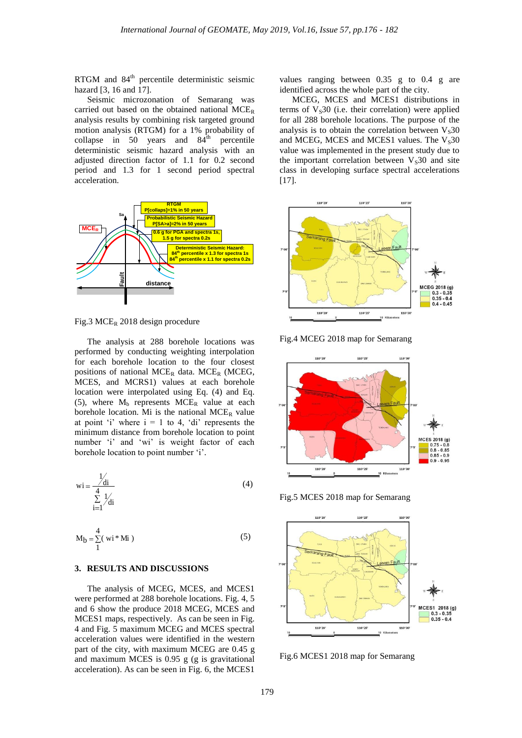RTGM and 84th percentile deterministic seismic hazard [3, 16 and 17].

Seismic microzonation of Semarang was carried out based on the obtained national  $MCE_R$ analysis results by combining risk targeted ground motion analysis (RTGM) for a 1% probability of collapse in 50 years and  $84<sup>th</sup>$  percentile deterministic seismic hazard analysis with an adjusted direction factor of 1.1 for 0.2 second period and 1.3 for 1 second period spectral acceleration.



Fig.3 MCE<sub>R</sub> 2018 design procedure

The analysis at 288 borehole locations was performed by conducting weighting interpolation for each borehole location to the four closest positions of national MCE<sub>R</sub> data. MCE<sub>R</sub> (MCEG, MCES, and MCRS1) values at each borehole location were interpolated using Eq. (4) and Eq. (5), where  $M_b$  represents  $MCE_R$  value at each borehole location. Mi is the national  $MCE_R$  value at point 'i' where  $i = 1$  to 4, 'di' represents the minimum distance from borehole location to point number 'i' and 'wi' is weight factor of each borehole location to point number 'i'.

$$
\operatorname{wi} = \frac{\frac{1}{4}}{\sum_{i=1}^{4} \frac{1}{4}} \tag{4}
$$

$$
M_b = \sum_{1}^{4} (wi * Mi)
$$
 (5)

#### **3. RESULTS AND DISCUSSIONS**

The analysis of MCEG, MCES, and MCES1 were performed at 288 borehole locations. Fig. 4, 5 and 6 show the produce 2018 MCEG, MCES and MCES1 maps, respectively. As can be seen in Fig. 4 and Fig. 5 maximum MCEG and MCES spectral acceleration values were identified in the western part of the city, with maximum MCEG are 0.45 g and maximum MCES is 0.95 g (g is gravitational acceleration). As can be seen in Fig. 6, the MCES1

values ranging between 0.35 g to 0.4 g are identified across the whole part of the city.

MCEG, MCES and MCES1 distributions in terms of  $V<sub>S</sub>30$  (i.e. their correlation) were applied for all 288 borehole locations. The purpose of the analysis is to obtain the correlation between  $V<sub>S</sub>30$ and MCEG, MCES and MCES1 values. The  $V<sub>S</sub>30$ value was implemented in the present study due to the important correlation between  $V<sub>s</sub>30$  and site class in developing surface spectral accelerations [17].



Fig.4 MCEG 2018 map for Semarang







Fig.6 MCES1 2018 map for Semarang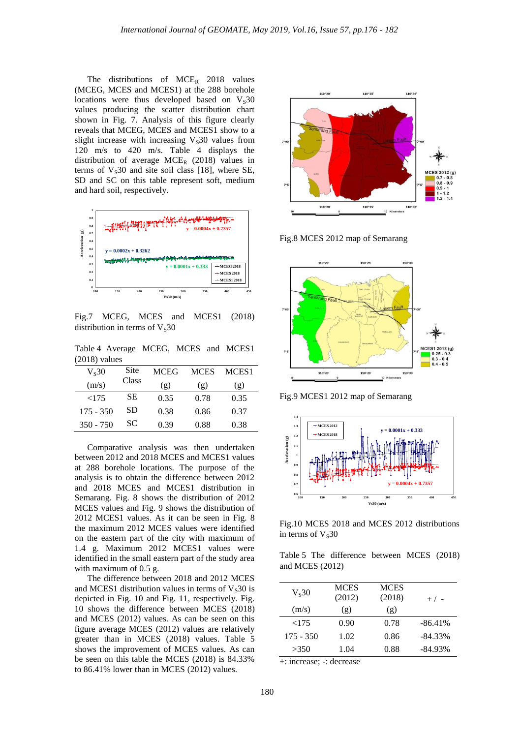The distributions of  $MCE_R$  2018 values (MCEG, MCES and MCES1) at the 288 borehole locations were thus developed based on  $V<sub>S</sub>30$ values producing the scatter distribution chart shown in Fig. 7. Analysis of this figure clearly reveals that MCEG, MCES and MCES1 show to a slight increase with increasing  $V<sub>s</sub>30$  values from 120 m/s to 420 m/s. Table 4 displays the distribution of average  $MCE_R$  (2018) values in terms of  $V<sub>S</sub>30$  and site soil class [18], where SE, SD and SC on this table represent soft, medium and hard soil, respectively.



Fig.7 MCEG, MCES and MCES1 (2018) distribution in terms of  $V<sub>S</sub>30$ 

Table 4 Average MCEG, MCES and MCES1 (2018) values

| $V_s30$     | Site  | <b>MCEG</b> | <b>MCES</b> | MCES <sub>1</sub> |
|-------------|-------|-------------|-------------|-------------------|
| (m/s)       | Class | (g)         | (g)         | (g)               |
| ${<}175$    | SЕ    | 0.35        | 0.78        | 0.35              |
| $175 - 350$ | SD    | 0.38        | 0.86        | 0.37              |
| $350 - 750$ | SС    | 0.39        | 0.88        | 0.38              |

Comparative analysis was then undertaken between 2012 and 2018 MCES and MCES1 values at 288 borehole locations. The purpose of the analysis is to obtain the difference between 2012 and 2018 MCES and MCES1 distribution in Semarang. Fig. 8 shows the distribution of 2012 MCES values and Fig. 9 shows the distribution of 2012 MCES1 values. As it can be seen in Fig. 8 the maximum 2012 MCES values were identified on the eastern part of the city with maximum of 1.4 g. Maximum 2012 MCES1 values were identified in the small eastern part of the study area with maximum of 0.5 g.

The difference between 2018 and 2012 MCES and MCES1 distribution values in terms of  $V<sub>S</sub>30$  is depicted in Fig. 10 and Fig. 11, respectively. Fig. 10 shows the difference between MCES (2018) and MCES (2012) values. As can be seen on this figure average MCES (2012) values are relatively greater than in MCES (2018) values. Table 5 shows the improvement of MCES values. As can be seen on this table the MCES (2018) is 84.33% to 86.41% lower than in MCES (2012) values.



Fig.8 MCES 2012 map of Semarang



Fig.9 MCES1 2012 map of Semarang



Fig.10 MCES 2018 and MCES 2012 distributions in terms of  $V<sub>s</sub>30$ 

Table 5 The difference between MCES (2018) and MCES (2012)

| $V_s30$     | <b>MCES</b><br>(2012) | <b>MCES</b><br>(2018) | $+/-$      |
|-------------|-----------------------|-----------------------|------------|
| (m/s)       | (g)                   | (g)                   |            |
| ${<}175$    | 0.90                  | 0.78                  | $-86.41\%$ |
| $175 - 350$ | 1.02                  | 0.86                  | $-84.33\%$ |
| >350        | 1.04                  | 0.88                  | $-84.93\%$ |

+: increase; -: decrease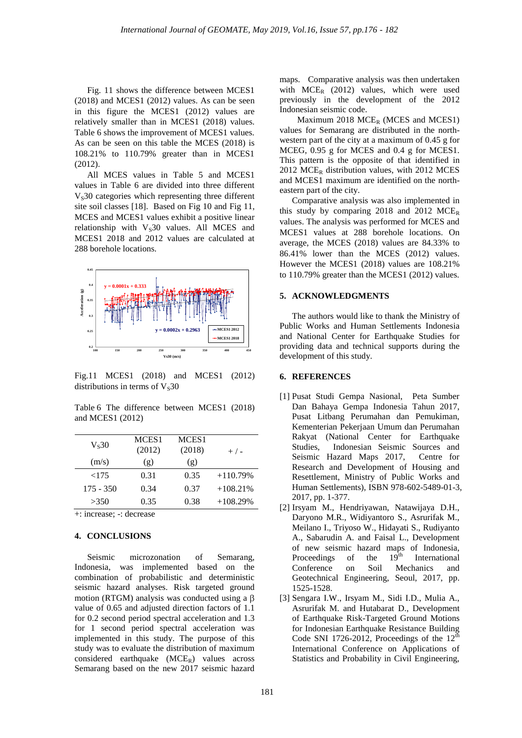Fig. 11 shows the difference between MCES1 (2018) and MCES1 (2012) values. As can be seen in this figure the MCES1 (2012) values are relatively smaller than in MCES1 (2018) values. Table 6 shows the improvement of MCES1 values. As can be seen on this table the MCES (2018) is 108.21% to 110.79% greater than in MCES1 (2012).

All MCES values in Table 5 and MCES1 values in Table 6 are divided into three different  $V<sub>s</sub>30$  categories which representing three different site soil classes [18]. Based on Fig 10 and Fig 11, MCES and MCES1 values exhibit a positive linear relationship with  $V<sub>S</sub>30$  values. All MCES and MCES1 2018 and 2012 values are calculated at 288 borehole locations.



Fig.11 MCES1 (2018) and MCES1 (2012) distributions in terms of  $V<sub>S</sub>30$ 

Table 6 The difference between MCES1 (2018) and MCES1 (2012)

| $V_s30$     | MCES <sub>1</sub><br>(2012) | MCES <sub>1</sub><br>(2018) | $+/-$      |
|-------------|-----------------------------|-----------------------------|------------|
| (m/s)       | (g)                         | (g)                         |            |
| <175        | 0.31                        | 0.35                        | $+110.79%$ |
| $175 - 350$ | 0.34                        | 0.37                        | $+108.21%$ |
| >350        | 0.35                        | 0.38                        | $+108.29%$ |

+: increase; -: decrease

## **4. CONCLUSIONS**

Seismic microzonation of Semarang, Indonesia, was implemented based on the combination of probabilistic and deterministic seismic hazard analyses. Risk targeted ground motion (RTGM) analysis was conducted using a  $\beta$ value of 0.65 and adjusted direction factors of 1.1 for 0.2 second period spectral acceleration and 1.3 for 1 second period spectral acceleration was implemented in this study. The purpose of this study was to evaluate the distribution of maximum considered earthquake  $(MCE_R)$  values across Semarang based on the new 2017 seismic hazard maps. Comparative analysis was then undertaken with  $MCE_R$  (2012) values, which were used previously in the development of the 2012 Indonesian seismic code.

Maximum 2018  $MCE_R$  (MCES and MCES1) values for Semarang are distributed in the northwestern part of the city at a maximum of 0.45 g for MCEG, 0.95 g for MCES and 0.4 g for MCES1. This pattern is the opposite of that identified in  $2012 \text{ MCE}_R$  distribution values, with  $2012 \text{ MCE}S$ and MCES1 maximum are identified on the northeastern part of the city.

Comparative analysis was also implemented in this study by comparing 2018 and 2012 MCE<sub>R</sub> values. The analysis was performed for MCES and MCES1 values at 288 borehole locations. On average, the MCES (2018) values are 84.33% to 86.41% lower than the MCES (2012) values. However the MCES1 (2018) values are 108.21% to 110.79% greater than the MCES1 (2012) values.

## **5. ACKNOWLEDGMENTS**

The authors would like to thank the Ministry of Public Works and Human Settlements Indonesia and National Center for Earthquake Studies for providing data and technical supports during the development of this study.

#### **6. REFERENCES**

- [1] Pusat Studi Gempa Nasional, Peta Sumber Dan Bahaya Gempa Indonesia Tahun 2017, Pusat Litbang Perumahan dan Pemukiman, Kementerian Pekerjaan Umum dan Perumahan Rakyat (National Center for Earthquake Studies, Indonesian Seismic Sources and Seismic Hazard Maps 2017, Centre for Research and Development of Housing and Resettlement, Ministry of Public Works and Human Settlements), ISBN 978-602-5489-01-3, 2017, pp. 1-377.
- [2] Irsyam M., Hendriyawan, Natawijaya D.H., Daryono M.R., Widiyantoro S., Asrurifak M., Meilano I., Triyoso W., Hidayati S., Rudiyanto A., Sabarudin A. and Faisal L., Development of new seismic hazard maps of Indonesia,<br>Proceedings of the 19<sup>th</sup> International Proceedings of the  $19<sup>th</sup>$  International Conference on Soil Mechanics and Geotechnical Engineering, Seoul, 2017, pp. 1525-1528.
- [3] Sengara I.W., Irsyam M., Sidi I.D., Mulia A., Asrurifak M. and Hutabarat D., Development of Earthquake Risk-Targeted Ground Motions for Indonesian Earthquake Resistance Building Code SNI 1726-2012, Proceedings of the  $12<sup>th</sup>$ International Conference on Applications of Statistics and Probability in Civil Engineering,